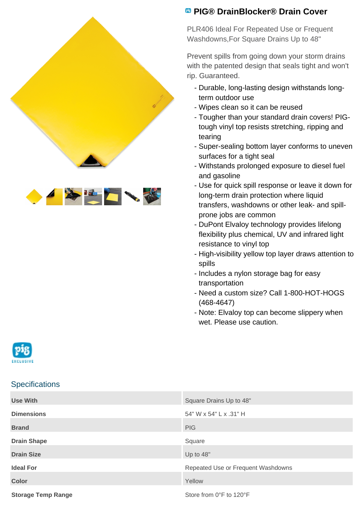

## **PIG® DrainBlocker® Drain Cover**

PLR406 Ideal For Repeated Use or Frequent Washdowns,For Square Drains Up to 48"

Prevent spills from going down your storm drains with the patented design that seals tight and won't rip. Guaranteed.

- Durable, long-lasting design withstands longterm outdoor use
- Wipes clean so it can be reused
- Tougher than your standard drain covers! PIGtough vinyl top resists stretching, ripping and tearing
- Super-sealing bottom layer conforms to uneven surfaces for a tight seal
- Withstands prolonged exposure to diesel fuel and gasoline
- Use for quick spill response or leave it down for long-term drain protection where liquid transfers, washdowns or other leak- and spillprone jobs are common
- DuPont Elvaloy technology provides lifelong flexibility plus chemical, UV and infrared light resistance to vinyl top
- High-visibility yellow top layer draws attention to spills
- Includes a nylon storage bag for easy transportation
- Need a custom size? Call 1-800-HOT-HOGS (468-4647)
- Note: Elvaloy top can become slippery when wet. Please use caution.



## **Specifications**

| <b>Use With</b>           | Square Drains Up to 48"            |
|---------------------------|------------------------------------|
| <b>Dimensions</b>         | 54" W x 54" L x .31" H             |
| <b>Brand</b>              | <b>PIG</b>                         |
| <b>Drain Shape</b>        | Square                             |
| <b>Drain Size</b>         | Up to 48"                          |
| <b>Ideal For</b>          | Repeated Use or Frequent Washdowns |
| <b>Color</b>              | Yellow                             |
| <b>Storage Temp Range</b> | Store from 0°F to 120°F            |